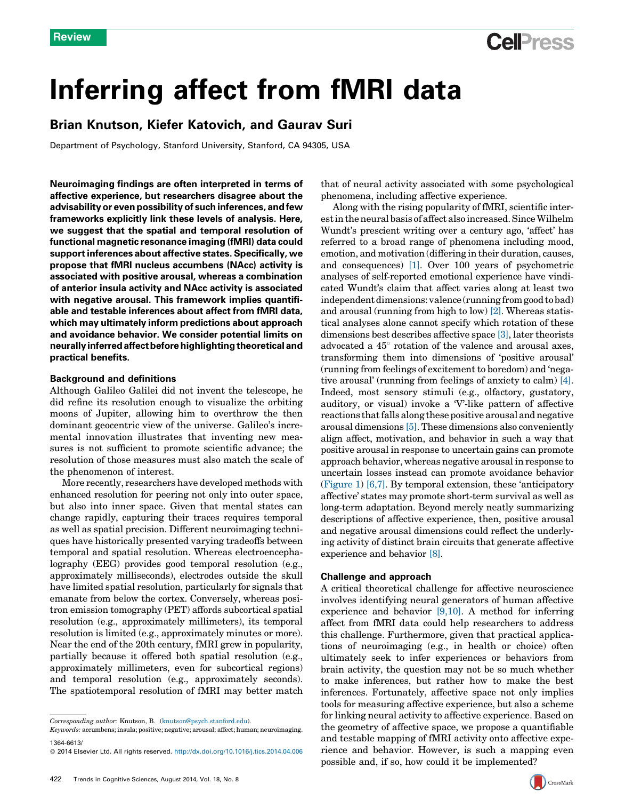# Inferring affect from fMRI data

## Brian Knutson, Kiefer Katovich, and Gaurav Suri

Department of Psychology, Stanford University, Stanford, CA 94305, USA

Neuroimaging findings are often interpreted in terms of affective experience, but researchers disagree about the advisability or even possibility of such inferences, and few frameworks explicitly link these levels of analysis. Here, we suggest that the spatial and temporal resolution of functional magnetic resonance imaging (fMRI) data could support inferences about affective states. Specifically, we propose that fMRI nucleus accumbens (NAcc) activity is associated with positive arousal, whereas a combination of anterior insula activity and NAcc activity is associated with negative arousal. This framework implies quantifiable and testable inferences about affect from fMRI data, which may ultimately inform predictions about approach and avoidance behavior. We consider potential limits on neurallyinferredaffectbeforehighlightingtheoreticaland practical benefits.

### Background and definitions

Although Galileo Galilei did not invent the telescope, he did refine its resolution enough to visualize the orbiting moons of Jupiter, allowing him to overthrow the then dominant geocentric view of the universe. Galileo's incremental innovation illustrates that inventing new measures is not sufficient to promote scientific advance; the resolution of those measures must also match the scale of the phenomenon of interest.

More recently, researchers have developed methods with enhanced resolution for peering not only into outer space, but also into inner space. Given that mental states can change rapidly, capturing their traces requires temporal as well as spatial precision. Different neuroimaging techniques have historically presented varying tradeoffs between temporal and spatial resolution. Whereas electroencephalography (EEG) provides good temporal resolution (e.g., approximately milliseconds), electrodes outside the skull have limited spatial resolution, particularly for signals that emanate from below the cortex. Conversely, whereas positron emission tomography (PET) affords subcortical spatial resolution (e.g., approximately millimeters), its temporal resolution is limited (e.g., approximately minutes or more). Near the end of the 20th century, fMRI grew in popularity, partially because it offered both spatial resolution (e.g., approximately millimeters, even for subcortical regions) and temporal resolution (e.g., approximately seconds). The spatiotemporal resolution of fMRI may better match

that of neural activity associated with some psychological phenomena, including affective experience. Along with the rising popularity of fMRI, scientific inter-

estinthe neural basis of affect also increased.SinceWilhelm Wundt's prescient writing over a century ago, 'affect' has referred to a broad range of phenomena including mood, emotion, and motivation (differing in their duration, causes, and consequences) [\[1\].](#page-5-0) Over 100 years of psychometric analyses of self-reported emotional experience have vindicated Wundt's claim that affect varies along at least two independent dimensions: valence (running from good to bad) and arousal (running from high to low) [\[2\].](#page-5-0) Whereas statistical analyses alone cannot specify which rotation of these dimensions best describes affective space [\[3\]](#page-5-0), later theorists advocated a  $45^{\circ}$  rotation of the valence and arousal axes, transforming them into dimensions of 'positive arousal' (running from feelings of excitement to boredom) and 'negative arousal' (running from feelings of anxiety to calm) [\[4\]](#page-5-0). Indeed, most sensory stimuli (e.g., olfactory, gustatory, auditory, or visual) invoke a 'V'-like pattern of affective reactions that falls along these positive arousal and negative arousal dimensions [\[5\]](#page-5-0). These dimensions also conveniently align affect, motivation, and behavior in such a way that positive arousal in response to uncertain gains can promote approach behavior, whereas negative arousal in response to uncertain losses instead can promote avoidance behavior ([Figure](#page-1-0) 1) [\[6,7\].](#page-6-0) By temporal extension, these 'anticipatory affective' states may promote short-term survival as well as long-term adaptation. Beyond merely neatly summarizing descriptions of affective experience, then, positive arousal and negative arousal dimensions could reflect the underlying activity of distinct brain circuits that generate affective experience and behavior [\[8\]](#page-6-0).

#### Challenge and approach

A critical theoretical challenge for affective neuroscience involves identifying neural generators of human affective experience and behavior  $[9,10]$ . A method for inferring affect from fMRI data could help researchers to address this challenge. Furthermore, given that practical applications of neuroimaging (e.g., in health or choice) often ultimately seek to infer experiences or behaviors from brain activity, the question may not be so much whether to make inferences, but rather how to make the best inferences. Fortunately, affective space not only implies tools for measuring affective experience, but also a scheme for linking neural activity to affective experience. Based on the geometry of affective space, we propose a quantifiable and testable mapping of fMRI activity onto affective experience and behavior. However, is such a mapping even possible and, if so, how could it be implemented?

Corresponding author: Knutson, B. ([knutson@psych.stanford.edu\)](mailto:knutson@psych.stanford.edu).

<sup>1364-6613/</sup> Keywords: accumbens; insula; positive; negative; arousal; affect; human; neuroimaging.

<sup>© 2014</sup> Elsevier Ltd. All rights reserved. <http://dx.doi.org/10.1016/j.tics.2014.04.006>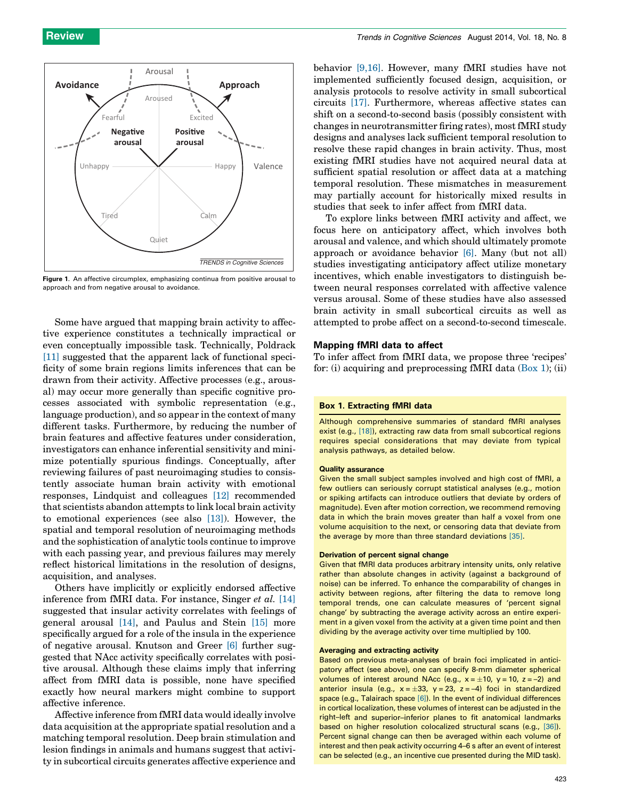<span id="page-1-0"></span>

Figure 1. An affective circumplex, emphasizing continua from positive arousal to approach and from negative arousal to avoidance.

Some have argued that mapping brain activity to affective experience constitutes a technically impractical or even conceptually impossible task. Technically, Poldrack [\[11\]](#page-6-0) suggested that the apparent lack of functional specificity of some brain regions limits inferences that can be drawn from their activity. Affective processes (e.g., arousal) may occur more generally than specific cognitive processes associated with symbolic representation (e.g., language production), and so appear in the context of many different tasks. Furthermore, by reducing the number of brain features and affective features under consideration, investigators can enhance inferential sensitivity and minimize potentially spurious findings. Conceptually, after reviewing failures of past neuroimaging studies to consistently associate human brain activity with emotional responses, Lindquist and colleagues [\[12\]](#page-6-0) recommended that scientists abandon attempts to link local brain activity to emotional experiences (see also [\[13\]](#page-6-0)). However, the spatial and temporal resolution of neuroimaging methods and the sophistication of analytic tools continue to improve with each passing year, and previous failures may merely reflect historical limitations in the resolution of designs, acquisition, and analyses.

Others have implicitly or explicitly endorsed affective inference from fMRI data. For instance, Singer et al. [\[14\]](#page-6-0) suggested that insular activity correlates with feelings of general arousal [\[14\],](#page-6-0) and Paulus and Stein [\[15\]](#page-6-0) more specifically argued for a role of the insula in the experience of negative arousal. Knutson and Greer [\[6\]](#page-6-0) further suggested that NAcc activity specifically correlates with positive arousal. Although these claims imply that inferring affect from fMRI data is possible, none have specified exactly how neural markers might combine to support affective inference.

Affective inference from fMRI data would ideally involve data acquisition at the appropriate spatial resolution and a matching temporal resolution. Deep brain stimulation and lesion findings in animals and humans suggest that activity in subcortical circuits generates affective experience and

behavior [\[9,16\]](#page-6-0). However, many fMRI studies have not implemented sufficiently focused design, acquisition, or analysis protocols to resolve activity in small subcortical circuits [\[17\].](#page-6-0) Furthermore, whereas affective states can shift on a second-to-second basis (possibly consistent with changes in neurotransmitter firing rates), most fMRI study designs and analyses lack sufficient temporal resolution to resolve these rapid changes in brain activity. Thus, most existing fMRI studies have not acquired neural data at sufficient spatial resolution or affect data at a matching temporal resolution. These mismatches in measurement may partially account for historically mixed results in studies that seek to infer affect from fMRI data.

To explore links between fMRI activity and affect, we focus here on anticipatory affect, which involves both arousal and valence, and which should ultimately promote approach or avoidance behavior [\[6\].](#page-6-0) Many (but not all) studies investigating anticipatory affect utilize monetary incentives, which enable investigators to distinguish between neural responses correlated with affective valence versus arousal. Some of these studies have also assessed brain activity in small subcortical circuits as well as attempted to probe affect on a second-to-second timescale.

#### Mapping fMRI data to affect

To infer affect from fMRI data, we propose three 'recipes' for: (i) acquiring and preprocessing fMRI data  $(Box 1)$ ; (ii)

#### Box 1. Extracting fMRI data

Although comprehensive summaries of standard fMRI analyses exist (e.g., [\[18\]\)](#page-6-0), extracting raw data from small subcortical regions requires special considerations that may deviate from typical analysis pathways, as detailed below.

#### Quality assurance

Given the small subject samples involved and high cost of fMRI, a few outliers can seriously corrupt statistical analyses (e.g., motion or spiking artifacts can introduce outliers that deviate by orders of magnitude). Even after motion correction, we recommend removing data in which the brain moves greater than half a voxel from one volume acquisition to the next, or censoring data that deviate from the average by more than three standard deviations [\[35\].](#page-6-0)

#### Derivation of percent signal change

Given that fMRI data produces arbitrary intensity units, only relative rather than absolute changes in activity (against a background of noise) can be inferred. To enhance the comparability of changes in activity between regions, after filtering the data to remove long temporal trends, one can calculate measures of 'percent signal change' by subtracting the average activity across an entire experiment in a given voxel from the activity at a given time point and then dividing by the average activity over time multiplied by 100.

#### Averaging and extracting activity

Based on previous meta-analyses of brain foci implicated in anticipatory affect (see above), one can specify 8-mm diameter spherical volumes of interest around NAcc (e.g.,  $x = \pm 10$ ,  $y = 10$ ,  $z = -2$ ) and anterior insula (e.g.,  $x = \pm 33$ ,  $y = 23$ ,  $z = -4$ ) foci in standardized space (e.g., Talairach space [\[6\]](#page-6-0)). In the event of individual differences in cortical localization, these volumes of interest can be adjusted in the right–left and superior–inferior planes to fit anatomical landmarks based on higher resolution colocalized structural scans (e.g., [\[36\]](#page-6-0)). Percent signal change can then be averaged within each volume of interest and then peak activity occurring 4–6 s after an event of interest can be selected (e.g., an incentive cue presented during the MID task).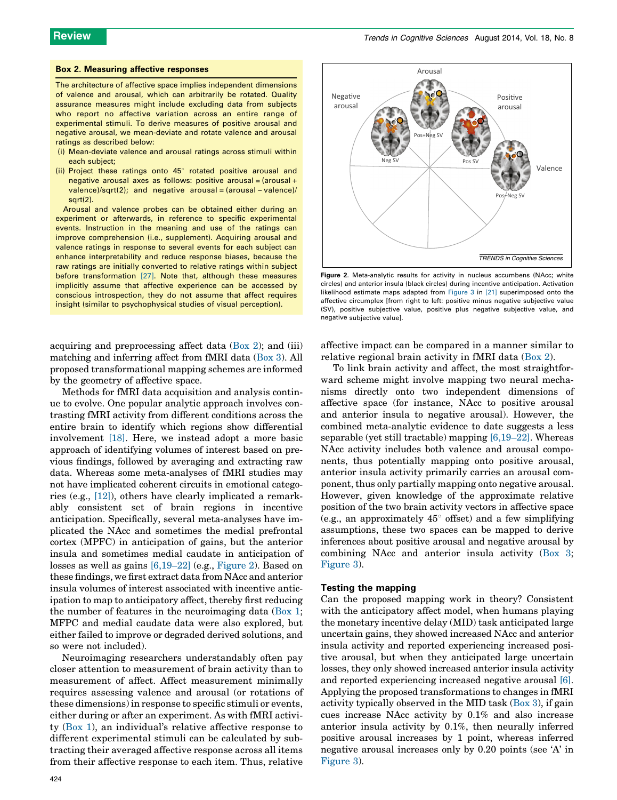#### Box 2. Measuring affective responses

The architecture of affective space implies independent dimensions of valence and arousal, which can arbitrarily be rotated. Quality assurance measures might include excluding data from subjects who report no affective variation across an entire range of experimental stimuli. To derive measures of positive arousal and negative arousal, we mean-deviate and rotate valence and arousal ratings as described below:

- (i) Mean-deviate valence and arousal ratings across stimuli within each subject;
- (ii) Project these ratings onto  $45^\circ$  rotated positive arousal and negative arousal axes as follows: positive arousal = (arousal +  $value$ )/sqrt(2); and negative arousal = (arousal – valence)/ sqrt(2).

Arousal and valence probes can be obtained either during an experiment or afterwards, in reference to specific experimental events. Instruction in the meaning and use of the ratings can improve comprehension (i.e., supplement). Acquiring arousal and valence ratings in response to several events for each subject can enhance interpretability and reduce response biases, because the raw ratings are initially converted to relative ratings within subject before transformation [\[27\].](#page-6-0) Note that, although these measures implicitly assume that affective experience can be accessed by conscious introspection, they do not assume that affect requires insight (similar to psychophysical studies of visual perception).

acquiring and preprocessing affect data  $(Box 2)$ ; and (iii) matching and inferring affect from fMRI data ([Box](#page-3-0) 3). All proposed transformational mapping schemes are informed by the geometry of affective space.

Methods for fMRI data acquisition and analysis continue to evolve. One popular analytic approach involves contrasting fMRI activity from different conditions across the entire brain to identify which regions show differential involvement [\[18\]](#page-6-0). Here, we instead adopt a more basic approach of identifying volumes of interest based on previous findings, followed by averaging and extracting raw data. Whereas some meta-analyses of fMRI studies may not have implicated coherent circuits in emotional categories (e.g., [\[12\]](#page-6-0)), others have clearly implicated a remarkably consistent set of brain regions in incentive anticipation. Specifically, several meta-analyses have implicated the NAcc and sometimes the medial prefrontal cortex (MPFC) in anticipation of gains, but the anterior insula and sometimes medial caudate in anticipation of losses as well as gains [\[6,19–22\]](#page-6-0) (e.g., Figure 2). Based on these findings, we first extract data from NAcc and anterior insula volumes of interest associated with incentive anticipation to map to anticipatory affect, thereby first reducing the number of features in the neuroimaging data [\(Box](#page-1-0) 1; MFPC and medial caudate data were also explored, but either failed to improve or degraded derived solutions, and so were not included).

Neuroimaging researchers understandably often pay closer attention to measurement of brain activity than to measurement of affect. Affect measurement minimally requires assessing valence and arousal (or rotations of these dimensions) in response to specific stimuli or events, either during or after an experiment. As with fMRI activity [\(Box](#page-1-0) 1), an individual's relative affective response to different experimental stimuli can be calculated by subtracting their averaged affective response across all items from their affective response to each item. Thus, relative



Figure 2. Meta-analytic results for activity in nucleus accumbens (NAcc; white circles) and anterior insula (black circles) during incentive anticipation. Activation likelihood estimate maps adapted from [Figure](#page-3-0) 3 in [\[21\]](#page-6-0) superimposed onto the affective circumplex [from right to left: positive minus negative subjective value (SV), positive subjective value, positive plus negative subjective value, and negative subjective value].

affective impact can be compared in a manner similar to relative regional brain activity in fMRI data (Box 2).

To link brain activity and affect, the most straightforward scheme might involve mapping two neural mechanisms directly onto two independent dimensions of affective space (for instance, NAcc to positive arousal and anterior insula to negative arousal). However, the combined meta-analytic evidence to date suggests a less separable (yet still tractable) mapping [\[6,19–22\]](#page-6-0). Whereas NAcc activity includes both valence and arousal components, thus potentially mapping onto positive arousal, anterior insula activity primarily carries an arousal component, thus only partially mapping onto negative arousal. However, given knowledge of the approximate relative position of the two brain activity vectors in affective space (e.g., an approximately  $45^{\circ}$  offset) and a few simplifying assumptions, these two spaces can be mapped to derive inferences about positive arousal and negative arousal by combining NAcc and anterior insula activity ([Box](#page-3-0) 3; [Figure](#page-3-0) 3).

#### Testing the mapping

Can the proposed mapping work in theory? Consistent with the anticipatory affect model, when humans playing the monetary incentive delay (MID) task anticipated large uncertain gains, they showed increased NAcc and anterior insula activity and reported experiencing increased positive arousal, but when they anticipated large uncertain losses, they only showed increased anterior insula activity and reported experiencing increased negative arousal [\[6\]](#page-6-0). Applying the proposed transformations to changes in fMRI activity typically observed in the MID task ([Box](#page-3-0) 3), if gain cues increase NAcc activity by 0.1% and also increase anterior insula activity by 0.1%, then neurally inferred positive arousal increases by 1 point, whereas inferred negative arousal increases only by 0.20 points (see 'A' in [Figure](#page-3-0) 3).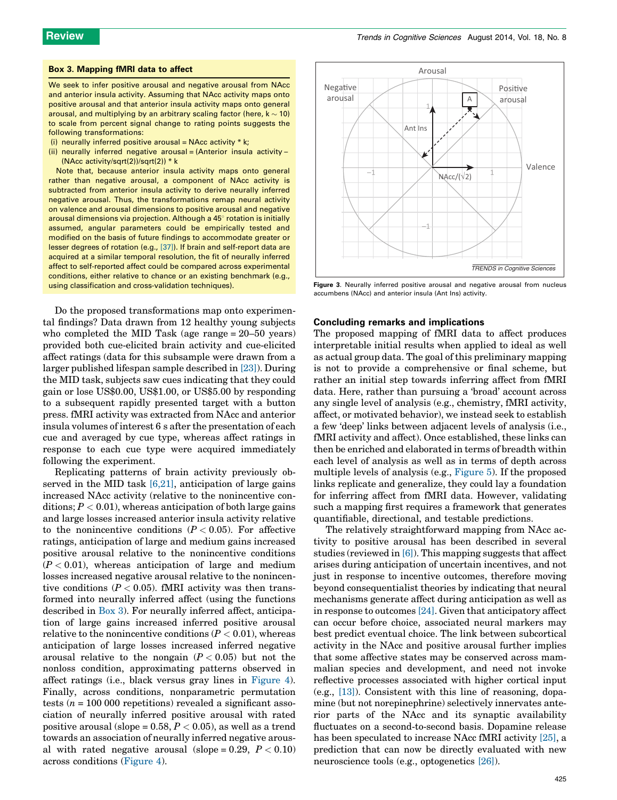#### <span id="page-3-0"></span>Box 3. Mapping fMRI data to affect

We seek to infer positive arousal and negative arousal from NAcc and anterior insula activity. Assuming that NAcc activity maps onto positive arousal and that anterior insula activity maps onto general arousal, and multiplying by an arbitrary scaling factor (here,  $k \sim 10$ ) to scale from percent signal change to rating points suggests the following transformations:

- (i) neurally inferred positive arousal = NAcc activity  $*$  k;
- (ii) neurally inferred negative arousal = (Anterior insula activity (NAcc activity/sqrt(2))/sqrt(2)) \* k

Note that, because anterior insula activity maps onto general rather than negative arousal, a component of NAcc activity is subtracted from anterior insula activity to derive neurally inferred negative arousal. Thus, the transformations remap neural activity on valence and arousal dimensions to positive arousal and negative arousal dimensions via projection. Although a 45° rotation is initially assumed, angular parameters could be empirically tested and modified on the basis of future findings to accommodate greater or lesser degrees of rotation (e.g., [\[37\]](#page-6-0)). If brain and self-report data are acquired at a similar temporal resolution, the fit of neurally inferred affect to self-reported affect could be compared across experimental conditions, either relative to chance or an existing benchmark (e.g., using classification and cross-validation techniques).

Do the proposed transformations map onto experimental findings? Data drawn from 12 healthy young subjects who completed the MID Task (age range = 20–50 years) provided both cue-elicited brain activity and cue-elicited affect ratings (data for this subsample were drawn from a larger published lifespan sample described in [\[23\]](#page-6-0)). During the MID task, subjects saw cues indicating that they could gain or lose US\$0.00, US\$1.00, or US\$5.00 by responding to a subsequent rapidly presented target with a button press. fMRI activity was extracted from NAcc and anterior insula volumes of interest 6 s after the presentation of each cue and averaged by cue type, whereas affect ratings in response to each cue type were acquired immediately following the experiment.

Replicating patterns of brain activity previously observed in the MID task  $[6,21]$ , anticipation of large gains increased NAcc activity (relative to the nonincentive conditions;  $P < 0.01$ ), whereas anticipation of both large gains and large losses increased anterior insula activity relative to the nonincentive conditions  $(P < 0.05)$ . For affective ratings, anticipation of large and medium gains increased positive arousal relative to the nonincentive conditions  $(P<0.01)$ , whereas anticipation of large and medium losses increased negative arousal relative to the nonincentive conditions ( $P < 0.05$ ). fMRI activity was then transformed into neurally inferred affect (using the functions described in Box 3). For neurally inferred affect, anticipation of large gains increased inferred positive arousal relative to the nonincentive conditions  $(P < 0.01)$ , whereas anticipation of large losses increased inferred negative arousal relative to the nongain  $(P < 0.05)$  but not the nonloss condition, approximating patterns observed in affect ratings (i.e., black versus gray lines in [Figure](#page-4-0) 4). Finally, across conditions, nonparametric permutation tests ( $n = 100000$  repetitions) revealed a significant association of neurally inferred positive arousal with rated positive arousal (slope =  $0.58, P < 0.05$ ), as well as a trend towards an association of neurally inferred negative arousal with rated negative arousal (slope = 0.29,  $P < 0.10$ ) across conditions [\(Figure](#page-4-0) 4).



Figure 3. Neurally inferred positive arousal and negative arousal from nucleus accumbens (NAcc) and anterior insula (Ant Ins) activity.

#### Concluding remarks and implications

The proposed mapping of fMRI data to affect produces interpretable initial results when applied to ideal as well as actual group data. The goal of this preliminary mapping is not to provide a comprehensive or final scheme, but rather an initial step towards inferring affect from fMRI data. Here, rather than pursuing a 'broad' account across any single level of analysis (e.g., chemistry, fMRI activity, affect, or motivated behavior), we instead seek to establish a few 'deep' links between adjacent levels of analysis (i.e., fMRI activity and affect). Once established, these links can then be enriched and elaborated in terms of breadth within each level of analysis as well as in terms of depth across multiple levels of analysis (e.g., [Figure](#page-5-0) 5). If the proposed links replicate and generalize, they could lay a foundation for inferring affect from fMRI data. However, validating such a mapping first requires a framework that generates quantifiable, directional, and testable predictions.

The relatively straightforward mapping from NAcc activity to positive arousal has been described in several studies (reviewed in [\[6\]\)](#page-6-0). This mapping suggests that affect arises during anticipation of uncertain incentives, and not just in response to incentive outcomes, therefore moving beyond consequentialist theories by indicating that neural mechanisms generate affect during anticipation as well as in response to outcomes [\[24\].](#page-6-0) Given that anticipatory affect can occur before choice, associated neural markers may best predict eventual choice. The link between subcortical activity in the NAcc and positive arousal further implies that some affective states may be conserved across mammalian species and development, and need not invoke reflective processes associated with higher cortical input (e.g., [\[13\]\)](#page-6-0). Consistent with this line of reasoning, dopamine (but not norepinephrine) selectively innervates anterior parts of the NAcc and its synaptic availability fluctuates on a second-to-second basis. Dopamine release has been speculated to increase NAcc fMRI activity [\[25\]](#page-6-0), a prediction that can now be directly evaluated with new neuroscience tools (e.g., optogenetics [\[26\]](#page-6-0)).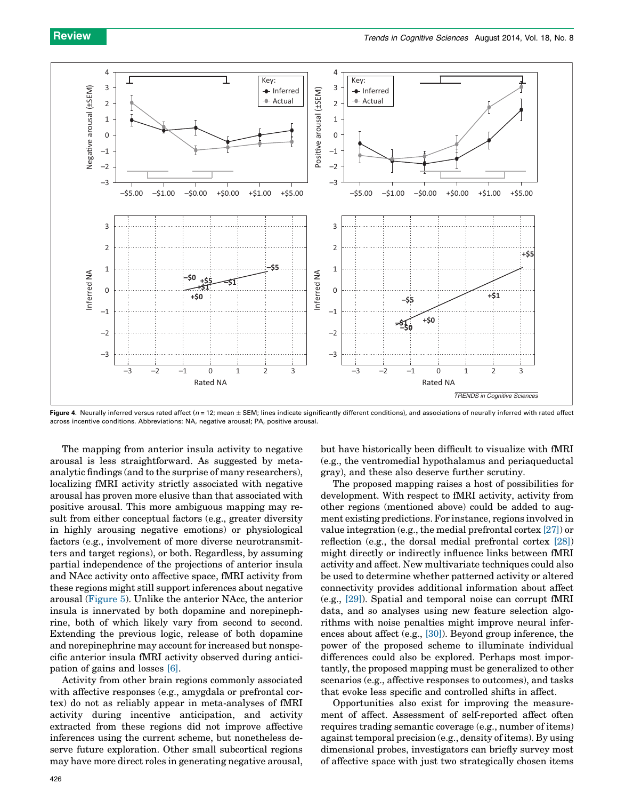<span id="page-4-0"></span>

**Figure 4**. Neurally inferred versus rated affect (*n* = 12; mean  $\pm$  SEM; lines indicate significantly different conditions), and associations of neurally inferred with rated affect across incentive conditions. Abbreviations: NA, negative arousal; PA, positive arousal.

The mapping from anterior insula activity to negative arousal is less straightforward. As suggested by metaanalytic findings (and to the surprise of many researchers), localizing fMRI activity strictly associated with negative arousal has proven more elusive than that associated with positive arousal. This more ambiguous mapping may result from either conceptual factors (e.g., greater diversity in highly arousing negative emotions) or physiological factors (e.g., involvement of more diverse neurotransmitters and target regions), or both. Regardless, by assuming partial independence of the projections of anterior insula and NAcc activity onto affective space, fMRI activity from these regions might still support inferences about negative arousal ([Figure](#page-5-0) 5). Unlike the anterior NAcc, the anterior insula is innervated by both dopamine and norepinephrine, both of which likely vary from second to second. Extending the previous logic, release of both dopamine and norepinephrine may account for increased but nonspecific anterior insula fMRI activity observed during anticipation of gains and losses [\[6\]](#page-6-0).

Activity from other brain regions commonly associated with affective responses (e.g., amygdala or prefrontal cortex) do not as reliably appear in meta-analyses of fMRI activity during incentive anticipation, and activity extracted from these regions did not improve affective inferences using the current scheme, but nonetheless deserve future exploration. Other small subcortical regions may have more direct roles in generating negative arousal, but have historically been difficult to visualize with fMRI (e.g., the ventromedial hypothalamus and periaqueductal gray), and these also deserve further scrutiny.

The proposed mapping raises a host of possibilities for development. With respect to fMRI activity, activity from other regions (mentioned above) could be added to augment existing predictions. For instance, regions involved in value integration (e.g., the medial prefrontal cortex  $[27]$ ) or reflection (e.g., the dorsal medial prefrontal cortex [\[28\]\)](#page-6-0) might directly or indirectly influence links between fMRI activity and affect. New multivariate techniques could also be used to determine whether patterned activity or altered connectivity provides additional information about affect (e.g., [\[29\]](#page-6-0)). Spatial and temporal noise can corrupt fMRI data, and so analyses using new feature selection algorithms with noise penalties might improve neural inferences about affect (e.g., [\[30\]\)](#page-6-0). Beyond group inference, the power of the proposed scheme to illuminate individual differences could also be explored. Perhaps most importantly, the proposed mapping must be generalized to other scenarios (e.g., affective responses to outcomes), and tasks that evoke less specific and controlled shifts in affect.

Opportunities also exist for improving the measurement of affect. Assessment of self-reported affect often requires trading semantic coverage (e.g., number of items) against temporal precision (e.g., density of items). By using dimensional probes, investigators can briefly survey most of affective space with just two strategically chosen items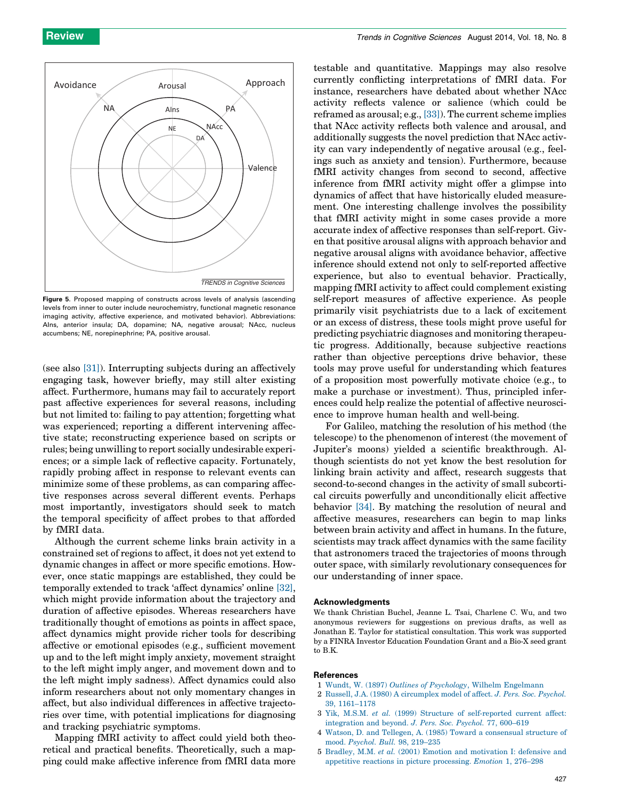<span id="page-5-0"></span>

Figure 5. Proposed mapping of constructs across levels of analysis (ascending levels from inner to outer include neurochemistry, functional magnetic resonance imaging activity, affective experience, and motivated behavior). Abbreviations: AIns, anterior insula; DA, dopamine; NA, negative arousal; NAcc, nucleus accumbens; NE, norepinephrine; PA, positive arousal.

(see also [\[31\]](#page-6-0)). Interrupting subjects during an affectively engaging task, however briefly, may still alter existing affect. Furthermore, humans may fail to accurately report past affective experiences for several reasons, including but not limited to: failing to pay attention; forgetting what was experienced; reporting a different intervening affective state; reconstructing experience based on scripts or rules; being unwilling to report socially undesirable experiences; or a simple lack of reflective capacity. Fortunately, rapidly probing affect in response to relevant events can minimize some of these problems, as can comparing affective responses across several different events. Perhaps most importantly, investigators should seek to match the temporal specificity of affect probes to that afforded by fMRI data.

Although the current scheme links brain activity in a constrained set of regions to affect, it does not yet extend to dynamic changes in affect or more specific emotions. However, once static mappings are established, they could be temporally extended to track 'affect dynamics' online [\[32\]](#page-6-0), which might provide information about the trajectory and duration of affective episodes. Whereas researchers have traditionally thought of emotions as points in affect space, affect dynamics might provide richer tools for describing affective or emotional episodes (e.g., sufficient movement up and to the left might imply anxiety, movement straight to the left might imply anger, and movement down and to the left might imply sadness). Affect dynamics could also inform researchers about not only momentary changes in affect, but also individual differences in affective trajectories over time, with potential implications for diagnosing and tracking psychiatric symptoms.

Mapping fMRI activity to affect could yield both theoretical and practical benefits. Theoretically, such a mapping could make affective inference from fMRI data more

testable and quantitative. Mappings may also resolve currently conflicting interpretations of fMRI data. For instance, researchers have debated about whether NAcc activity reflects valence or salience (which could be reframed as arousal; e.g., [\[33\]\)](#page-6-0). The current scheme implies that NAcc activity reflects both valence and arousal, and additionally suggests the novel prediction that NAcc activity can vary independently of negative arousal (e.g., feelings such as anxiety and tension). Furthermore, because fMRI activity changes from second to second, affective inference from fMRI activity might offer a glimpse into dynamics of affect that have historically eluded measurement. One interesting challenge involves the possibility that fMRI activity might in some cases provide a more accurate index of affective responses than self-report. Given that positive arousal aligns with approach behavior and negative arousal aligns with avoidance behavior, affective inference should extend not only to self-reported affective experience, but also to eventual behavior. Practically, mapping fMRI activity to affect could complement existing self-report measures of affective experience. As people primarily visit psychiatrists due to a lack of excitement or an excess of distress, these tools might prove useful for predicting psychiatric diagnoses and monitoring therapeutic progress. Additionally, because subjective reactions rather than objective perceptions drive behavior, these tools may prove useful for understanding which features of a proposition most powerfully motivate choice (e.g., to make a purchase or investment). Thus, principled inferences could help realize the potential of affective neuroscience to improve human health and well-being.

For Galileo, matching the resolution of his method (the telescope) to the phenomenon of interest (the movement of Jupiter's moons) yielded a scientific breakthrough. Although scientists do not yet know the best resolution for linking brain activity and affect, research suggests that second-to-second changes in the activity of small subcortical circuits powerfully and unconditionally elicit affective behavior [\[34\].](#page-6-0) By matching the resolution of neural and affective measures, researchers can begin to map links between brain activity and affect in humans. In the future, scientists may track affect dynamics with the same facility that astronomers traced the trajectories of moons through outer space, with similarly revolutionary consequences for our understanding of inner space.

#### Acknowledgments

We thank Christian Buchel, Jeanne L. Tsai, Charlene C. Wu, and two anonymous reviewers for suggestions on previous drafts, as well as Jonathan E. Taylor for statistical consultation. This work was supported by a FINRA Investor Education Foundation Grant and a Bio-X seed grant to B.K.

#### **References**

- 1 Wundt, W. (1897) Outlines of Psychology, Wilhelm [Engelmann](http://refhub.elsevier.com/S1364-6613(14)00100-4/sbref0005)
- 2 Russell, J.A. (1980) A [circumplex](http://refhub.elsevier.com/S1364-6613(14)00100-4/sbref0010) model of affect. J. Pers. Soc. Psychol. 39, [1161–1178](http://refhub.elsevier.com/S1364-6613(14)00100-4/sbref0010)
- 3 Yik, M.S.M. et al. (1999) Structure of [self-reported](http://refhub.elsevier.com/S1364-6613(14)00100-4/sbref0015) current affect: [integration](http://refhub.elsevier.com/S1364-6613(14)00100-4/sbref0015) and beyond. J. Pers. Soc. Psychol. 77, 600–619
- 4 Watson, D. and Tellegen, A. (1985) Toward a [consensual](http://refhub.elsevier.com/S1364-6613(14)00100-4/sbref0020) structure of mood. Psychol. Bull. 98, [219–235](http://refhub.elsevier.com/S1364-6613(14)00100-4/sbref0020)
- 5 Bradley, M.M. et al. (2001) Emotion and [motivation](http://refhub.elsevier.com/S1364-6613(14)00100-4/sbref0025) I: defensive and appetitive reactions in picture [processing.](http://refhub.elsevier.com/S1364-6613(14)00100-4/sbref0025) Emotion 1, 276–298